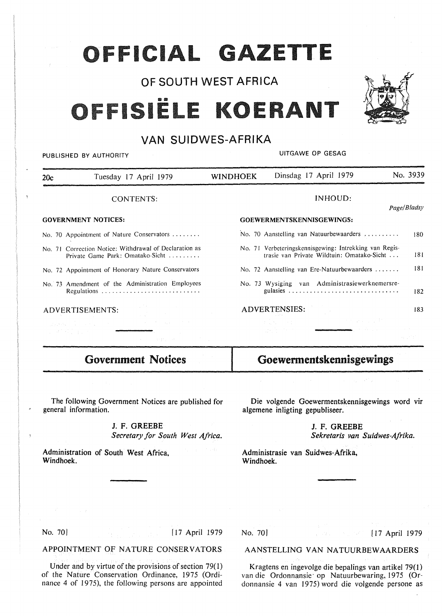## **OFFICIAL GAZETTE**

## OF SOUTH WEST AFRICA

# **111111 ISi**



## VAN SUIDWES-AFRIKA

PUBLISHED BY AUTHORITY **EXECUTE A SECOND TEST OF SECOND PUBLISHED BY AUTHORITY** 

| 20c | Tuesday 17 April 1979                                                                                                                                                                                                                                                                                                                                                                                                                      | <b>WINDHOEK</b>                          | Dinsdag 17 April 1979                                                                                                                                                                                                          |  | No. 3939 |  |
|-----|--------------------------------------------------------------------------------------------------------------------------------------------------------------------------------------------------------------------------------------------------------------------------------------------------------------------------------------------------------------------------------------------------------------------------------------------|------------------------------------------|--------------------------------------------------------------------------------------------------------------------------------------------------------------------------------------------------------------------------------|--|----------|--|
|     | <b>CONTENTS:</b>                                                                                                                                                                                                                                                                                                                                                                                                                           |                                          | <b>INHOUD:</b>                                                                                                                                                                                                                 |  |          |  |
|     | <b>GOVERNMENT NOTICES:</b>                                                                                                                                                                                                                                                                                                                                                                                                                 | Page/Bladsy<br>GOEWERMENTSKENNISGEWINGS: |                                                                                                                                                                                                                                |  |          |  |
|     | No. 70 Appointment of Nature Conservators                                                                                                                                                                                                                                                                                                                                                                                                  |                                          | No. 70 Aanstelling van Natuurbewaarders                                                                                                                                                                                        |  | 180      |  |
|     | No. 71 Correction Notice: Withdrawal of Declaration as<br>Private Game Park: Omatako-Sicht                                                                                                                                                                                                                                                                                                                                                 |                                          | No. 71 Verbeteringskennisgewing: Intrekking van Regis-<br>trasie van Private Wildtuin: Omatako-Sicht                                                                                                                           |  | 181      |  |
|     | No. 72 Appointment of Honorary Nature Conservators                                                                                                                                                                                                                                                                                                                                                                                         |                                          | No. 72 Aanstelling van Ere-Natuurbewaarders                                                                                                                                                                                    |  | 181      |  |
|     | No. 73 Amendment of the Administration Employees<br>Regulations                                                                                                                                                                                                                                                                                                                                                                            |                                          | No. 73 Wysiging van Administrasiewerknemersre-                                                                                                                                                                                 |  | 182      |  |
|     | ADVERTISEMENTS:                                                                                                                                                                                                                                                                                                                                                                                                                            |                                          | <b>ADVERTENSIES:</b>                                                                                                                                                                                                           |  | 183      |  |
|     | state of the signal<br>$\label{eq:2.1} \frac{1}{2}\int_{\mathbb{R}^3}\frac{1}{2\pi}\left(\frac{1}{2\pi}\sum_{i=1}^3\frac{1}{2\pi}\sum_{j=1}^3\frac{1}{2\pi\left(\frac{1}{2\pi}\sum_{i=1}^3\frac{1}{2\pi\left(\frac{1}{2\pi}\sum_{i=1}^3\frac{1}{2\pi\left(\frac{1}{2\pi}\sum_{i=1}^3\frac{1}{2\pi\left(\frac{1}{2\pi}\sum_{i=1}^3\frac{1}{2\pi\left(\frac{1}{2\pi}\sum_{i=1}^3\frac{1}{2\pi\left(\frac{1}{$<br>1094年4月11日<br>医血管 计数据程序 医精神 |                                          | and the process of the                                                                                                                                                                                                         |  |          |  |
|     | <b>Government Notices</b>                                                                                                                                                                                                                                                                                                                                                                                                                  |                                          | Goewermentskennisgewings                                                                                                                                                                                                       |  |          |  |
|     | the control of the control of the con-                                                                                                                                                                                                                                                                                                                                                                                                     |                                          | and the company of the company of the company of the company of the company of the company of the company of the company of the company of the company of the company of the company of the company of the company of the comp |  |          |  |
|     | The following Government Notices are published for<br>general information.                                                                                                                                                                                                                                                                                                                                                                 |                                          | Die volgende Goewermentskennisgewings word vir<br>algemene inligting gepubliseer.                                                                                                                                              |  |          |  |
|     | J. F. GREEBE<br>Secretary for South West Africa.                                                                                                                                                                                                                                                                                                                                                                                           |                                          | J. F. GREEBE<br>Sekretaris van Suidwes-Afrika.                                                                                                                                                                                 |  |          |  |
|     | Administration of South West Africa.                                                                                                                                                                                                                                                                                                                                                                                                       |                                          | Administrasie van Suidwes-Afrika,                                                                                                                                                                                              |  |          |  |

Administrasie van Suidwes-Afrika, **Windhoek.** 

Windhoek.

No. 70<sup>1</sup> [ 17 April 1979]

**APPOINTMENT OF NATURE CONSERVATORS** 

Under and by virtue of the provisions of section  $79(1)$ of the Nature Conservation Ordinance, 1975 (Ordinance 4 of 1975), the following persons are appointed

## No. 701 **[17 April 1979**

#### AANSTELLING VAN NATUURBEWAARDERS

Kragtens en ingevolge die bepalings van artikel 79(1) van die Ordonnansie op Natuurbewaring, 1975 (Ordonnansie 4 van 1975) word die volgende persone as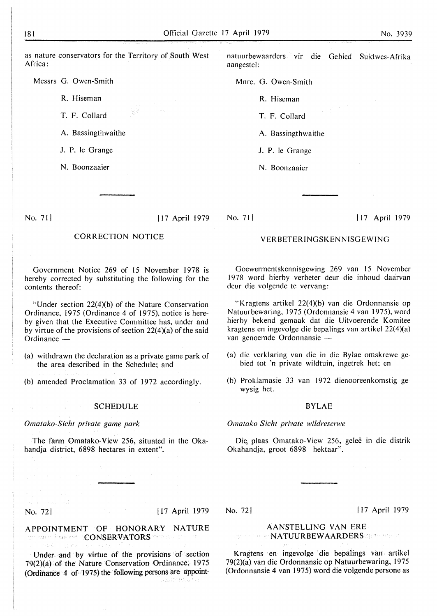as nature conservators for the Territory of South West Africa:

Messrs G. Owen-Smith

R. Hiseman

T. F. Collard

A. Bassingthwaithe

J. P. le Grange

N. Boonzaaier

#### No. 71 I I 17 April 1979

## CORRECTION NOTICE

Government Notice 269 of 15 November 1978 is hereby corrected by substituting the following for the contents thereof:

"Under section 22(4)(b) of the Nature Conservation Ordinance, 1975 (Ordinance 4 of 1975), notice is hereby given that the Executive Committee has, under and by virtue of the provisions of section 22(4)(a) of the said Ordinance  $-$ 

- (a) withdrawn the declaration as a private game park of the area described in the Schedule; and
- (b) amended Proclamation 33 of 1972 accordingly.

#### SCHEDULE

#### *Omatako-Sicht private game park*

The farm Omatako-View 256, situated in the Okahandja district, 6898 hectares in extent".

natuurbewaarders vir die Gebied Suidwes-Afrika aangestel:

Mnre. G. Owen-Smith

R. Hiseman

T. F. Collard

A. Bassingthwaithe

J. P. le Grange

N. Boonzaaier

No. 711

#### I 17 April 1979

#### VERBETERINGSKENNISGEWING

Goewermentskennisgewing 269 van 15 November 1978 word hierby verbeter deur die inhoud daarvan deur die volgende te vervang:

"Kragtens artikel 22(4)(b) van die Ordonnansie op Natuurbewaring, 1975 (Ordonnansie 4 van 1975), word hierby bekend gemaak dat die Uitvoerende Komitee kragtens en ingevolge die bepalings van artikel 22(4)(a) van genoemde Ordonnansie -

- (a) die verklaring van die in die Bylae omskrewe gebied tot 'n private wildtuin, ingetrek het; en
- (b) Proklamasie 33 van 1972 dienooreenkomstig gewysig het.

#### BYLAE

#### *Omatako-Sicht private wildreserwe*

Die, plaas Omatako-View 256, geleë in die distrik Okahandja, groot 6898 hektaar".

#### No. 721 I 17 April 1979

APPOINTMENT OF HONORARY NATURE on man insected (CONSERVATORS remeasure the

· Under and by virtue of the provisions of section 79 $(2)(a)$  of the Nature Conservation Ordinance, 1975 (Ordinance 4 of 1975) the following persons are appoint-

#### No. 721 I 17 April 1979

#### AANSTELLING VAN ERE-NATUURBEWAARDERS SERVERS ON

Kragtens en ingevolge die bepalings van artikel 79(2)(a) van die Ordonnansie op Natuurbewaring, 1975 (Ordonnansie 4 van 1975) word die volgende persone as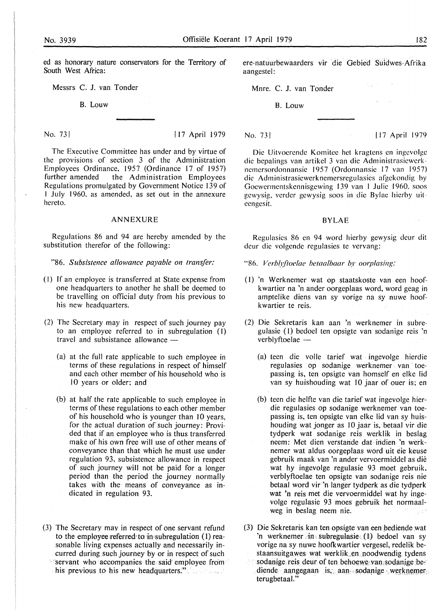ed as honorary nature conservators for the Territory of South West Africa:

Messrs C. J. van Tonder

B. Louw

No. 73 | I 17 April 1979

The Executive Committee has under and by virtue of the provisions of section 3 of the Administration Employees Ordinance, 1957 (Ordinance 17 of 1957) further amended the Administration Employees Regulations promulgated by Government Notice 139 of I July I 960, as amended, as set out in the annexure hereto.

#### **ANNEXURE**

Regulations 86 and 94 are hereby amended by the substitution therefor of the following:

"86. *Subsistence allowance payable on transfer:* 

- (I) If an employee is transferred at State expense from one headquarters to another he shall be deemed to be travelling on official duty from his previous to his new headquarters.
- (2) The Secretary may in respect of such journey pay to an employee referred to in subregulation (I) travel and subsistance allowance -
	- (a) at the full rate applicable to such employee in terms of these regulations in respect of himself and each other member of his household who is IO years or older; and
	- (b) at half the rate applicable to such employee in terms of these regulations to each other member of his household who is younger than 10 years, for the actual duration of such journey: Provided that if an employee who is thus transferred make of his own free will use of other means of conveyance than that which he must use under regulation 93, subsistence allowance in respect of such journey will not be paid for a longer period than the period the journey normally takes with the means of conveyance as indicated in regulation 93.
- (3) The Secretary may in respect of one servant refund to the employee referred to in subregulation  $(1)$  reasonable living expenses actually and necessarily incurred during such journey by or in respect of such **servant who accompanies the said employee from** 
	- his previous to his new headquarters."

ere-natuurbewaarders vir die Gebied Suidwes-Afrika aangestel:

Mnre. C. J. van Tonder

B. Louw

No. 731 **I** 17 April 1979

Die Uitvoerende Komitec het kragtens en ingcvolgc die bepalings van artikel 3 van die Administrasiewerk nemcrsordonnansie 1957 (Ordonnansie 17 van 1957) die Administrasicwerknemcrsregulasies afgekondig by Goewermcntskennisgewing 139 van I Julie 1960, soos gcwysig, vcrder gewysig soos in die Bylae hierby uitecngesit.

#### **BYLAE**

Regulasies 86 en 94 word hierby gewysig dcur dit dcur die volgende regulasies te vervang:

- "86. *Verblyftoelae betaalbaar by oorplasing:*
- ( I) 'n Werknemer wat op staatskoste van een hoofkwartier na 'n ander oorgeplaas word, word geag in amptelike diens van sy vorige na sy nuwe hoofkwartier te reis.
- (2) Die Sekretaris kan aan 'n werknemer in subregulasie ( I) bedoel ten opsigte van sodanige reis 'n verblyftoelae -
	- (a) teen die volle tarief wat ingevolge hierdie regulasies op sodanige werknemer. van toepassing is, ten opsigte van homself en elke lid van sy huishouding wat IO jaar of ouer is; en
	- (b) teen die helfte van die tarief wat ingevolge hierdie regulasies op sodanige werknemer van toepassing is, ten opsigte van elke lid van sy huishouding wat jonger as IO jaar is, betaal vir die tydperk wat sodanige reis werklik in beslag neem: Met dien verstande dat indien 'n werknemer wat aldus oorgeplaas word uit eie keuse gebruik maak van 'n ander vervoermiddel as die wat hy ingevolge regulasie 93 moet gebruik, verblyftoelae ten opsigte van sodanige reis nie betaal word vir 'n langer tydperk as die tydperk wat 'n reis met die vervoermiddel wat hy ingevolge regulasie 93 moes gebruik het normaalweg in beslag neem nie.
- (3) Die Sekretaris kan ten opsigte van een bediende wat 'n werknemer  $\sin \in \text{subregulasie}(\mathbb{1})$  bedoel van sy vorige na sy nuwe hootkwartier vergesel, redelik bestaansuitgawes wat werklik,en. noodwendig tydens  $\tilde{\mathcal{L}}^2$ sodanige reis deur of ten behoewe van sodanige bediende aangegaan is, aan sodanige werknemer. terugbetaal."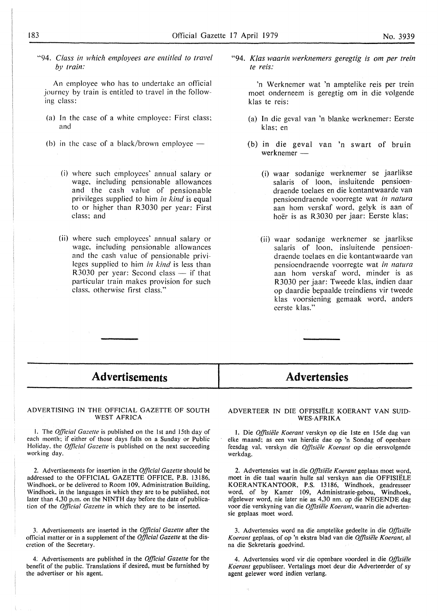"94. *Class in which employees are entitled to travel by train:* 

An employee who has to undertake an official journey by train is entitled to travel in the following class:

- (a) In the case of a white employee: First class; and
- (b) in the case of a black/brown employee  $-$ 
	- (i) where such employees' annual salary or wage, including pensionable allowances and the cash value of pensionable privileges supplied to him *in kind* is equal to or higher than R3030 per year: First class; and
	- (ii) where such employees' annual salary or wage, including pensionable allowances and the cash value of pensionable privileges supplied to him *in kind* is less than R3030 per year: Second class  $-$  if that particular train makes provision for such class, otherwise first class.''

"94. *Klas waarin werknemers geregtig is om per trein te reis:* 

'n Werknemer wat 'n amptelike reis per trein moet onderneem is geregtig om in die volgende klas te reis:

- (a) In die geval van 'n blanke werknemer: Eerste klas; en
- (b) in die geval van 'n swart of bruin werknemer -
	- (i) waar sodanige werknemer se jaarlikse salaris of loon, insluitende pensioendraende toelaes en die kontantwaarde van pensioendraende voorregte wat *in natura*  aan horn verskaf word, gelyk is aan of hoer is as R3030 per jaar: Eerste klas;
	- (ii) waar sodanige werknemer se jaarlikse salaris of loon, insluitende pensioendraende toelaes en die kontantwaarde van pensioendraende voorregte wat *in natura*  aan horn verskaf word, minder is as R3030 per jaar: Tweede klas, indien daar op daardie bepaalde treindiens vir tweede k las voorsiening gemaak word, anders eerste klas."

## **Advertisements**

## **Advertensies**

#### ADVERTISING IN THE OFFICIAL GAZETTE OF SOUTH WEST AFRICA

I. The *Official Gazelle* is published on the !st and 15th day of each month; if either of those days falls on a Sunday or Public Holiday. the *Official Gazette* is published on the next succeeding working day.

2. Advertisements for insertion in the *Official Gazette* should be addressed to the OFFICIAL GAZETTE OFFICE, P.B. 13186, Windhoek. or be delivered to Room 109, Administration Building, Windhoek, in the languages in which they are to be published, not later than 4,30 p.m. on the **NINTH** day before the date of publication of the *Official Gazette* in which they are to be inserted.

3. Advertisements are inserted in the *Official Gazette* after the official matter or in a supplement of the *Official Gazette* at the discretion of the Secretary.

4. Advertisements are published in the *Official Gazette* for the benefit of the public. Translations if desired, must be furnished by the advertiser or his agent.

#### ADVERTEER IN DIE OFFISIELE KOERANT VAN SUID-WES-AFRIKA

1. Die *Offisiiile Koerant* verskyn op die lste en 15de dag van elke maand; as een van hierdie dae op 'n Sondag of openbare feesdag val, verskyn die *Offisiele Koerant* op die eersvolgende werkdag.

2. Advertensies wat in die Offisiële Koerant geplaas moet word, moet in die taal waarin hulle sal verskyn aan die OFFISIELE KOERANTKANTOOR, P.S. 13186, Windhoek, geadresseer word, of by Kamer 109, Administrasie-gebou, Windhoek, afgelewer word, nie later nie as 4,30 nm. op die NEGENDE dag voor die verskyning van die Offisiële Koerant, waarin die advertensie geplaas moet word.

3. Advertensies word na die amptelike gedeelte in die *OffisiiJle Koerant geplaas, of op 'n ekstra blad van die Offisiële Koerant, al* na die Sekretaris goedvind.

4. Advertensies word vir die openbare voordeel in die *Offisie1e Koerant* gepubliseer. Vertalings moet deur die Adverteerder of sy agent gelewer word indien verlang.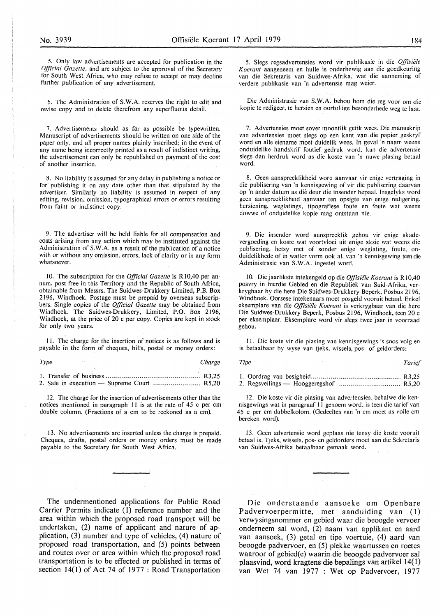5. Only law advertisements are accepted for publication in the *Official Gazette,* and are subject to the approval of the Secretary for South West Africa, who may refuse to accept or may decline further publication of any advertisement.

6. The Administration of **S. W.A.** reserves the right to edit and revise copy and to delete therefrom any superfluous detail.

7. Advertisements should as far as possible be typewritten. Manuscript of advertisements should be written on one side of the paper only, and all proper names plainly inscribed; in the event of any name being incorrectly printed as a result of indistinct writing, the advertisement can only be republished on payment of the cost of another insertion.

8. No liability is assumed for any delay in publishing a notice or for publishing it on any date other than that stipulated by the advertiser. Similarly no liability is assumed in respect of any editing, revision, omission, typographical errors or errors resulting from faint or indistinct copy.

9. The advertiser will be held liable for all compensation and costs arising from any action which may be instituted against the Administration of S.W.A. as a result of the publication of a notice with or without any omission. errors. lack of clarity or in any form whatsoever.

10. The subscription for the *Official Gazette* is R10,40 per annum, post free in this Territory and the Republic of South Africa, obtainable from Messrs. The Suidwes-Drukkery Limited, P.B. Box 2196, Windhoek. Postage must be prepaid by overseas subscripbers. Single copies of the *Official Gazette* may be obtained from Windhoek. The Suidwes-Drukkery, Limited, P.O. Box 2196, Windhoek, at the price of 20 c per copy. Copies are kept in stock for only two years.

11. The charge for the insertion of notices is as follows and is payable in the form of cheques, bills, postal or money orders:

*Type Charge 1.* Transfer of business . .. . . . . .. . . . .. . . .. . . .. . . . .. .. . .. . .. . .. . .. . .. . . . . R3,25 2. Sale in execution - Supreme Court . .. . .. . . . . . . . . . . . . . .. . . . R5,20

12. The charge for the insertion of advertisements other than the notices mentioned in paragraph 11 is at the rate of 45 c per cm double column. (Fractions of a cm to be reckoned as a cm).

13. No advertisements are inserted unless the charge is prepaid. Cheques, drafts, postal orders or money orders must be made payable to the Secretary for South West Africa.

The undermentioned applications for Public Road Carrier Permits indicate (I) reference number and the area within which the proposed road transport will be undertaken, (2) name of applicant and nature of application, (3) number and type of vehicles, (4) nature of proposed road transportation, and (5) points between and routes over or area within which the proposed road transportation is to be effected or published in terms of section 14(1) of Act 74 of 1977 : Road Transportation

5. Slegs regsadvertensies word vir publikasie in die *Offisiele*  **K** *oerant* aangeneem en hulle is onderhewig aan die gocdkeuring van die Sekretaris van Suidwes-Afrika. wat die aanneming of verdere publikasic van 'n advertensie mag weier.

Die Administrasie van **S.W.A.** behou horn die reg voor om die kopie te redigeer, te hersien en oortollige besonderhede weg te laat.

7. Advertensies moet sover moontlik getik wees. Die manuskrip van advertensies moet slegs op een kant van die papier geskryf word en alle eiename moet duidelik wees. In geval 'n naam weens onduidelike handskrif foutief gedruk word, kan die advertensie slegs dan herdruk word as die koste van 'n nuwc plasing betaal word.

8. Geen aanspreeklikheid word aanvaar vir enige vertraging in die publisering van 'n kennisgewing of vir die publisering daarvan op 'n ander datum as die deur die insender bepaal. Insgelyks word geen aanspreeklikheid aanvaar ten opsigte van enige redigering. hersiening, weglatings, tipografiese foute en foute wat weens dowwe of onduidelike kopie mag ontstaan nie.

9. Die insender word aanspreeklik gehou vir enige skadevergoeding en koste wat voortvloei uit enige aksie wat weens die pub'isering, hetsy met of sonder enige weglating, foute, onduidelikhede of in watter vorm ook al, van 'n kennisgewing teen die Administrasie van **S.W.A.** ingestel word.

10. Die jaarlikste intekengeld op die *Offisiële Koerant* is R10,40 posvry in hierdie Gebied en die Republiek van Suid-Afrika, verkrygbaar by die here Die Suidwes-Drukkery Beperk, Posbus 2196, Windhoek. Oorsese intekenaars moet posgeld vooruit betaal. Enke! eksemplare van die *Offisiele Koerant* is verkrygbaar van die here Die Suidwes-Drukkery Beperk, Posbus 2196, Windhoek, teen 20 c per eksemplaar. Eksemplare word vir slegs twee jaar in voorraad gehou.

11. Die koste vir die plasing van kennisgewings is soos volg en is betaalbaar by wyse van tjeks, wissels, pos- of geldorders:

*Tipe* Tarief *Tarief Tarief* 

I. Oordrag van besigheid ............................................. R3,25 2. Regsveilings - Hooggeregshof ................................. R5,20

12. Die koste vir die plasing van advertensies, behalwe die kennisgewings wat in paragraaf 11 genoem word, is teen die tarief van 45 c per cm dubbelkolom. (Gedeeltes van 'n cm moet as voile cm bereken word).

13. Geen advertensie word geplaas nie tensy die koste vooruit betaal is. Tjeks, wissels, pos- en geldorders moet aan die Sekretaris van Suidwes-Afrika betaalbaar gemaak word.

Die onderstaande aansoeke om Openbare Padvervoerpermitte, met aanduiding van (1) verwysingsnommer en gebied waar die beoogde vervoer onderneem sal word, (2) naam van applikant en aard van aansoek, (3) getal en tipe voertuie, (4) aard van beoogde padvervoer, en (5) plekke waartussen en roetes waaroor of gebied(e) waarin die beoogde padvervoer sal plaasvind, word kragtens die bepalings van artikel 14(1) van Wet 74 van 1977 : Wet op Padvervoer, 1977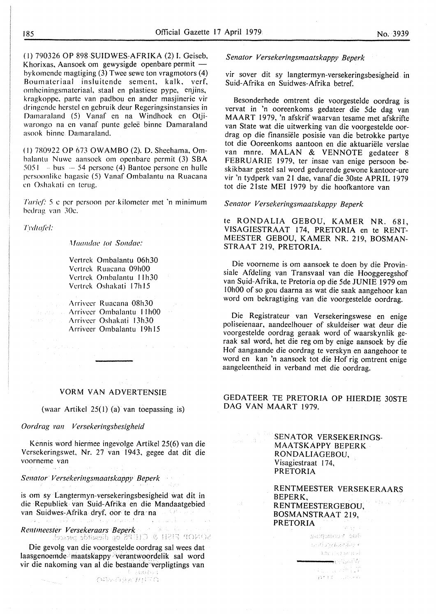( I) 790326 OP 898 SUIDWESsAFRIKA (2) I. Geiseb, Khorixas, Aansoek om gewysigde openbare permit bykomende magtiging (3) Twee sewe ton vragmotors (4) Roumateriaal insluitende sement, kalk, verf, omheiningsmateriaal, staal en plastiese pype, enjins, kragkoppe, parte van padbou en ander masjinerie vir dringende herstel en gebruik deur Regeringsinstansies in Damaraland (5) Vanaf en na Windhoek en Otjiwarongo na en vanaf punte gelee binne Damaraland asook binne Damaraland.

(I) 780922 OP 673 OWAMBO (2). D. Sheehama, Ombalantu Nuwe aansoek om openbare permit (3) **SBA**   $5051 - bus - 54$  persone (4) Bantoe persone en hulle pcrsoonlike bagasie (5) Vanaf Ombalantu na Ruacana en Oshakati en terug.

*Farief:* 5 c per persoon per. kilometer met 'n minimum hedrag van 30c.

*Tl'dt{{/'el:* 

*Maandae tot Sondae:* 

Vcrtrck Ombalantu 06h30 Vcrtrek Ruacana 09h00 Vertrek Ombalantu 11h30 Vertrek Oshakati 17h15

;\rrivcer Ruacana 08h30 **Arriveer Ombalantu 11h00** Arriveer Oshakati 13h30 Arrivcer Ombalantu 19h15

and the state of the state of the state

#### **VORM VAN ADVERTENSIE**

(waar Artikel 25(1) (a) van toepassing is)

#### *Oordrag* pa,1 *Versekeringsbesigheid*

Kennis word hiermee ingevolge Artikel 25(6) van die Versekeringswet, Nr. 27 van 1943, gegee dat dit die voorneme van

*Senator Versekeringsmaatskappy Beperk* 

 $\sim$   $\omega_{\rm{max}}$  ,  $\omega_{\rm{max}}$ 

is om sy Langtermyn-versekeringsbesigheid wat dit in die Republiek van Suid-Afrika en die Mandaatgebied van Suidwes-Afrika dryf, oor te dra na лàі.

*Rentmeester Versekeraars Beperk* 

Die gevolg van die voorgestelde oordrag sal wees dat laasgenoemde maatskappy verantwoordelik sal word vir die nakoming van al die bestaande 'verpligtings van ់ខែ Basagota

合作の自分を利用する

#### *Senator Versekeringsmaatskappy Beperk*

vir sover dit sy langtermyn-versekeringsbesigheid in Suid-Afrika en Suidwes-Afrika betref.

Besonderhede omtrent die voorgestelde oordrag is vervat in 'n ooreenkoms gedateer die 5de dag van **MAART** 1979, 'n afskrif waarvan tesame met afskrifte van State wat die uitwerking van die voorgestelde oordrag op die finansiele posisie van die betrokke partye tot die Ooreenkoms aantoon en die aktuariele verslae van mnre. MALAN & VENNOTE gedateer 8 FEBRUARIE 1979, ter insae van enige persoon beskikbaar gestel sal word gedurende gewone kantoor-ure vir 'n tydperk van 21 dae, vanaf die 30ste APRIL 1979 tot die 21ste MEI 1979 by die hoofkantore van

#### *Senator Versekeringsmaatskappy Beperk*

te RONDALIA GEBOU, KAMER NR. 681, VISAGIESTRAAT 174, PRETORIA en te RENT-MEESTER GEBOU, KAMER NR. 219, BOSMAN-STRAAT 219, PRETORIA.

Die voorneme is om aansoek te doen by die Provinsiale Afdeling van Transvaal van die Hooggeregshof van Suid-Afrika, te Pretoria op die 5de JUNIE 1979 om l 0hO0 of so gou daarna as wat die saak aangehoor kan word om bekragtiging van die voorgestelde oordrag.

Die Registrateur van Versekeringswese en enige poliseienaar, aandeelhouer of skuldeiser wat deur die voorgestelde oordrag geraak word of waarskynlik geraak sal word, het die reg om by enige aansoek by die Hof aangaande die oordrag te verskyn en aangehoor te word en kan 'n aansoek tot die Hof rig omtrent enige aangeleentheid in verband met die oordrag.

### GEDATEER TE PRETORIA OP HIERDIE 30STE DAG VAN MAART 1979.

SENATOR VERSEKERINGSnava (158 MAATSKAPPY BEPERK RONDALIAGEBOU, Visagiestraat 174, PRETORIA

 $\pm\frac{1}{2}$ 

RENTMEESTER VERSEKERAARS BEPERK,  $\psi_{2, \mathbf{r}_1, \mathbf{r}_2} = \psi_{\mathbf{r}}^* \mathcal{L}(-2)$ RENTMEESTERGEBOU, BOSMANSTRAAT 219, PRETORIA ings is a

> Burnamar sut าเกิดวิทย์สิทธิ์ - unicomé <del>m</del>erkst W na povezanje (UT)<br>Određenje poveza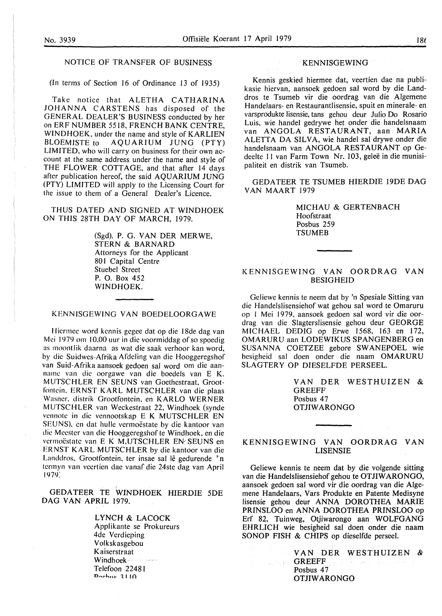#### NOTICE OF TRANSFER OF BUSINESS

(In terms of Section 16 of Ordinance 13 of 1935)

Take notice that ALETHA CATHARINA JOHANNA CARSTENS has disposed of the GENERAL DEALER'S BUSINESS conducted by her on ERF NUMBER 5518, FRENCH BANK CENTRE, WINDHOEK, under the name and style of KARLIEN<br>BLOEMISTE to AOUARIUM JUNG (PTY) AQUARIUM JUNG (PTY) LIMITED, who will carry on business for their own account at the same address under the name and style of THE FLOWER COTTAGE, and that after 14 days after publication hereof, the said AQUARIUM JUNG (PTY) LIMITED will apply to the Licensing Court for the issue to them of a General Dealer's Licence.

THUS DATED AND SIGNED AT WINDHOEK ON THIS 28TH DAY OF MARCH, 1979.

> (Sgd). P. G. VAN DER MERWE, STERN & BARNARD Attorneys for the Applicant 801 Capital Centre Stuebe) Street P. 0. Box 452 WINDHOEK.

KENNISGEWING VAN BOEDELOORGA WE

Hiermee word kennis gegee dat op die I 8de dag van Mei 1979 om 10,00 uur *in* die voormiddag of so spoedig as moontlik daarna as wat die saak verhoor kan word, by die Suidwes-Afrika Afdeling van die Hooggeregshof van Suid-Afrika aansoek gedoen sal word om die aanname van die oorgawe van die boedels van E K. MUTSCHLER EN SEUNS van Goethestraat, Grootfontein. ERNST KARL MUTSCHLER van die plaas Wasner. distrik Grootfontein. en KARLO WERNER MUTSCHLER van Weckestraat 22, Windhoek (synde vennote in die vennootskap E K MUTSCHLER EN SEUNS), en dat hulle vermoëstate by die kantoor van die Meester van die Hooggeregshof te Windhoek, en die vermoëstate van E K M,UTSCHLER EN SEUNS en ERNST KARL MUTSCHLER by die kantoor van die Landdros. Grootfontein, ter insae sal lê gedurende 'n termyn van veertien dae vanaf die 24ste dag van April 1979:

GEDATEER TE WINDHOEK HIERDIE 5DE **DAG VAN APRIL** 1979.

> **LYNCH** & **LACOCK**  Applikante se Prokureurs 4de Verdieping Volk sk asgebou Kaiserstraat Windhoek- $\label{eq:1} \hat{\zeta} = \hat{\zeta}_1 \hat{\zeta}_2 \hat{\zeta}_3 \hat{\zeta}_4 \hat{\zeta}_5 \hat{\zeta}_6 \hat{\zeta}_5 \hat{\zeta}_6 \hat{\zeta}_7$ Telefoon 22481 **o,.,..,h,.c- '.l l 10**

#### **KENNISGEWING**

Kennis geskied hiermee dat, veertien dae na publikasie hiervan, aansoek gedoen sal word by die Landdros te Tsumeb vir die oordrag van die Algemene Handelaars- en Restaurantlisensie, spuit en minerale- en varsprodukte lisensie, tans gehou deur Julio Do Rosario Luis, wie handel gedrywe het onder die handelsnaam van **ANGOLA RESTAURANT,** aan **MARIA**  ALETTA DA SILVA, wie handel sal drywe onder die handelsnaam van ANGOLA RESTAURANT op Gedeelte 11 van Farm Town Nr. 103, geleë in die munisipaliteit en distrik van Tsumeb.

GEDATEER TE TSUMEB HIERDIE 19DE DAG VAN MAART 1979

> MICHAU & GERTENBACH Hoofstraat Posbus 259 **TSUMEB**

#### KENNISGEWING VAN OORDRAG VAN **BESIGHEID**

Geliewe kennis te neem dat by 'n Spesiale Sitting van die Handelslisensiehof wat gehou sal word te Omaruru op I Mei 1979, aansoek gedoen sal word vir die oordrag van die Slagterslisensie gehou deur GEORGE MICHAEL DEDIG op Erwe 1568, 163 en 172, OMARURU aan LODEWIKUS SPANGENBERG en SUSANNA COETZEE gebore SWANEPOEL wie besigheid sal doen onder die naam OMARURU SLAGTERY OP DIESELFDE PERSEEL.

> VAN DER WESTHUIZEN & GREEFF Posbus 47 **OTJIWARONGO**

#### KENNISGEWING VAN OORDRAG VAN LISENSIE

Geliewe kennis te neem dat by die volgende sitting van die Handelslisensiehof gehou te OTJIWARONGO, aansoek gedoen sal word vir die oordrag van die Algemene Handelaars, Vars Produkte en Patente Medisyne lisensie gehou deur ANNA DOROTHEA MARIE PRINSLOO en ANNA DOROTHEA PRINSLOO op Erf 82, Tuinweg, Otjiwarongo aan WOLFGANG EHRLICH wie besigheid sal doen onder die naam SONOP FISH & CHIPS op dieselfde perseel.

> VAN DER WESTHUIZEN & **GREEFF** Posbus 47 **OTJIWARONGO**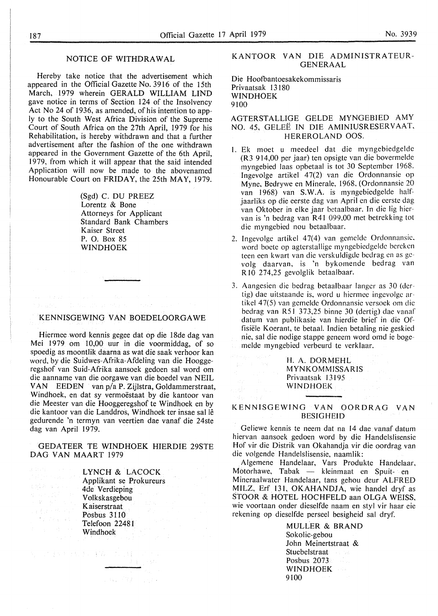#### NOTICE OF WITHDRAWAL

Hereby take notice that the advertisement which appeared in the Official Gazette No. 3916 of the 15th March, 1979 wherein GERALD WILLIAM LIND gave notice in terms of Section 124 of the Insolvency Act No 24 of 1936, as amended, of his intention to apply to the South West Africa Division of the Supreme Court of South Africa on the 27th April, 1979 for his Rehabilitation, is hereby withdrawn and that a further advertisement after the fashion of the one withdrawn appeared in the Government Gazette of the 6th April, 1979, from which it will appear that the said intended Application will now be made to the abovenamed Honourable Court on **FRIDAY,** the 25th **MAY,** 1979.

> (Sgd) C. DU PREEZ Lorentz & Bone Attorneys for Applicant Standard Bank Chambers Kaiser Street P. 0. Box 85 **WINDHOEK**

#### KENNISGEWING VAN BOEDELOORGA WE

 $\gamma_1,\gamma_2$  ).

Hiermee word kennis gegee dat op die 18de dag van Mei 1979 om 10,00 uur in die voormiddag, of so spoedig as moontlik daarna as wat die saak verhoor kan word, by die Suidwes-Afrika-Afdeling van die Hooggeregshof van Suid-Afrika aansoek gedoen sal word om die aanname van die oorgawe van die boedel van NEIL VAN EEDEN van p/a **P.** Zijlstra, Goldammerstraat, Windhoek, en dat sy vermoëstaat by die kantoor van die Meester van die Hooggeregshof te Windhoek en by die kantoor van die Landdros, Windhoek ter insae sal lê gedurende 'n termyn van veertien dae vanaf die 24ste dag van April 1979.

GEDATEER TE WINDHOEK HIERDIE 29STE DAG VAN MAART 1979

2000年1月11日

的复数 医反应 a Romal Compo<br>1974 - Alban San

 $\sigma_{\rm 2}$  , and  $\sigma_{\rm 3}$  , where

Specific Financial Control of Control Control Control Control Control Control Control Control Control Control C

LYNCH & LACOCK Applikant se Prokureurs 4de Verdieping Volkskasgebou Kaiserstraat Posbus 3110 Telefoon 22481 Windhoek

그 일이 잘 보는 것 같아.

#### KANTOOR VAN DIE ADMINISTRATEUR-GENERAAL

Die Hoofbantoesakekommissaris Privaatsak 13 180 **WINDHOEK**  9100

AGTERSTALLIGE GELDE MYNGEBIED AMY NO. 45, GELEË IN DIE AMINIUSRESERVAAT, HEREROLAND OOS.

- 1. Ek moet u meedeel dat die myngebiedgelde (R3 914,00 per jaar) ten opsigte van die bovermelde myngebied laas opbetaal is tot 30 September 1968. Ingevolge artikel 47(2) van die Ordonnansie op Myne, Bedrywe en Minerale, 1968, (Ordonnansie 20 van 1968) van **S.W.A.** is myngebiedgelde halfjaarliks op die eerste dag van April en die eerste dag van Oktober in elke jaar betaalbaar. In die lig hiervan is 'n bedrag van R41 099,00 met betrekking tot die myngebied nou betaalbaar.
- 2. Ingevolge artikel 47(4) van gemelde Ordonnansie, word boete op agterstallige myngebiedgelde bereken teen een kwart van die verskuldigde bedrag en as gevolg daarvan, is 'n bykomende bedrag van R 10 274,25 gevolglik betaalbaar.
- 3. Aangesien die bedrag betaalbaar !anger as 30 (dcrtig) dae uitstaande is, word u hiermee ingevolge artikel 4 7(5) van gernelde Ordonnansie versoek om die bedrag van R5 I 373,25 binne 30 (dertig) dae vanaf datum van publikasie van hierdie brief in die Offisiele Koerant, te betaal. Indien betaling nie geskied nie, sal die nodige stappe geneem word omd ie bogemelde myngebied verbeurd te verklaar.

**H. A. DORMEHL MYNKOMMISSARIS**  Privaatsak 13195 **WINDHOEK** 

[ b] 사

#### **KENNISGEWING VAN OORDRAG VAN BESIGHEID**

Geliewe kennis te neem dat na 14 dae vanaf datum hiervan aansoek gedoen word by die Handelslisensie Hof vir die Distrik van Okahandja vir die oordrag van die volgende Handelslisensie, naamlik:

Algemene Handelaar, Vars Produkte Handelaar, Motorhawe, Tabak — kleinmaat en Spuit- en Mineraalwater Handelaar, tans gehou deur ALFRED MILZ, Erf 131, OKAHANDJA, wie handel dryf as STOOR & HOTEL HOCHFELD aan OLGA WEISS, wie voortaan onder dieselfde naam en sty! vir haar eie rekening op dieselfde perseel besigheid sal dryf.

> **MULLER** & **BRAND**  Sokolic-gebou John Meinertstraat & Stuebelstraat Posbus 2073 **WINDHOEK**  9100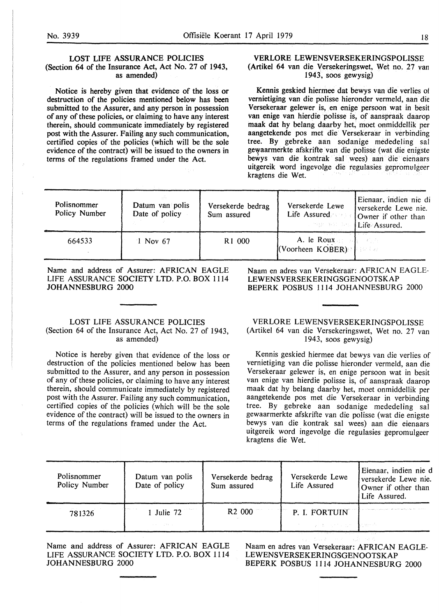#### LOST LIFE **ASSURANCE POLICIES**  (Section 64 of the Insurance Act, Act No. 27 of 1943, as amended)

Notice is hereby given that evidence of the loss or destruction of the policies mentioned below has been submitted to the Assurer, and any person in possession of any of these policies, or claiming to have any interest therein, should communicate immediately by registered post with the Assurer. Failing any such communication, certified copies of the policies (which will be the sole evidence of the contract) will be issued to the owners in terms of the regulations framed under the Act.

#### VERLORE LEWENSVERSEKERINGSPOLISSE (Artikel 64 van die Versekeringswet, Wet no. 27 van 1943, soos gewysig)

Kennis geskied hiermee dat bewys van die verlies of vemietiging van die polisse hieronder vermeld, aan die Versekeraar gelewer is, en enige persoon wat in besit van enige van hierdie polisse is, of aanspraak daarop maak dat hy belang daarby het, moet onmiddellik per aangetekende pos met die Versekeraar in verbinding tree. By gebreke aan sodanige mededeling sal gewaarmerkte afskrifte van die polisse (wat die enigste bewys van die kontrak sal wees) aan die eienaars uitgereik word ingevolge die regulasies gepromulgeer kragtens die Wet.

| Polisnommer<br>Policy Number | Datum van polis<br>Date of policy | Versekerde bedrag<br>Sum assured | Versekerde Lewe<br><b>Company for JEife' Assured.</b>                     | Eienaar, indien nie di<br>versekerde Lewe nie.<br>Life Assured <b>Comer</b> if other than |
|------------------------------|-----------------------------------|----------------------------------|---------------------------------------------------------------------------|-------------------------------------------------------------------------------------------|
| 664533                       | 1 Nov 67                          | R <sub>1</sub> 000               | The Control of the Control<br>A. le Roux $\mathbb{R}$<br>(Voorheen KOBER) |                                                                                           |

Name and address of Assurer: AFRICAN EAGLE LIFE ASSURANCE SOCIETY LTD. P.O. BOX 1114 JOHANNESBURG 2000

#### LOST LIFE ASSURANCE POLICIES (Section 64 of the Insurance Act, Act No. 27 of 1943, as amended)

Notice is hereby given that evidence of the loss or destruction of the policies mentioned below has been submitted to the Assurer, and any person in possession of any of these policies, or claiming to have any interest therein, should communicate immediately by registered post with the Assurer. Failing any such communication, certified copies of the policies (which will be the sole evidence of the contract) will be issued to the owners in terms of the regulations framed under the Act.

Naam en adres van Versekeraar: AFRICAN EAGLE-LEWENSVERSEKERINGSGENOOTSKAP BEPERK POSBUS 1114 JOHANNESBURG 2000

VERLORE LEWENSVERSEKERINGSPOLISSE (Artikel 64 van die Versekeringswet, Wet no. 27 van 1943, SOOS gewysig)

Kennis geskied hiermee dat bewys van die verlies of vernietiging van die polisse hieronder vermeld, aan die Versekeraar gelewer is, en enige persoon wat in besit van enige van hierdie polisse is, of aanspraak daarop maak dat hy belang daarby het, moet onmiddellik per aangetekende pos met die Versekeraar in verbinding tree. By gebreke aan sodanige mededeling sal gewaarmerkte afskrifte van die polisse (wat die enigste bewys van die kontrak sal wees) aan die eienaars uitgereik word ingevolge die regulasies gepromulgeer kragtens die Wet.

| Polisnommer<br>Policy Number | Datum van polis<br>Date of policy | Versekerde bedrag<br>Sum assured | Versekerde Lewe<br>Life Assured | Eienaar, indien nie d<br>versekerde Lewe nie.<br>Owner if other than<br>Life Assured. |
|------------------------------|-----------------------------------|----------------------------------|---------------------------------|---------------------------------------------------------------------------------------|
| 781326                       | 1 Julie 72                        | R <sub>2</sub> 000               | P. I. FORTUIN                   | the company's the second service and provide the second service                       |
|                              | service in the case.              |                                  | 反し おうえんかい カセン                   | <b>The Service</b>                                                                    |

Name and address of Assurer: AFRICAN EAGLE LIFE ASSURANCE SOCIETY LTD. P.O. BOX 1114 JOHANNESBURG 2000

Naam en adres van Versekeraar: AFRICAN EAGLE-LEWENSVERSEKERINGSGENOOTSKAP BEPERK POSBUS 1114 JOHANNESBURG 2000